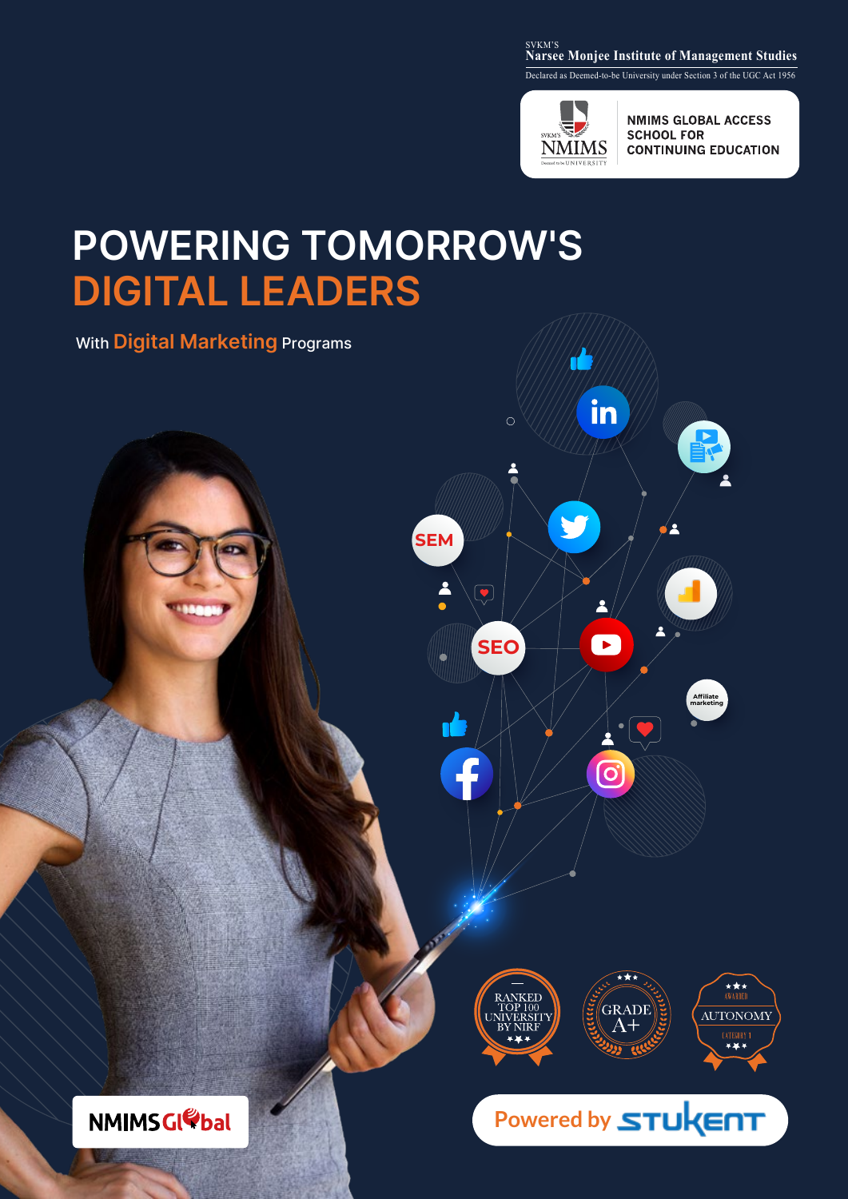#### <sub>SVKM'S</sub><br>Narsee Monjee Institute of Management Studies

Declared as Deemed-to-be University under Section 3 of the UGC Act 1956



1

V

in

 $\blacksquare$ 

 $\overline{\mathcal{O}}$ 

**SEO**

 $\left(\begin{matrix} \bullet \\ \bullet \end{matrix}\right)$ 

 $\overline{f}$ 

 $\circ$ 

**SEM**

2

**NMIMS GLOBAL ACCESS SCHOOL FOR CONTINUING EDUCATION** 

**Affiliate marketing**

# **POWERING TOMORROW'S DIGITAL LEADERS**

With **Digital Marketing** Programs



## Powered by **STUKENT**

**NMIMSGIODAL**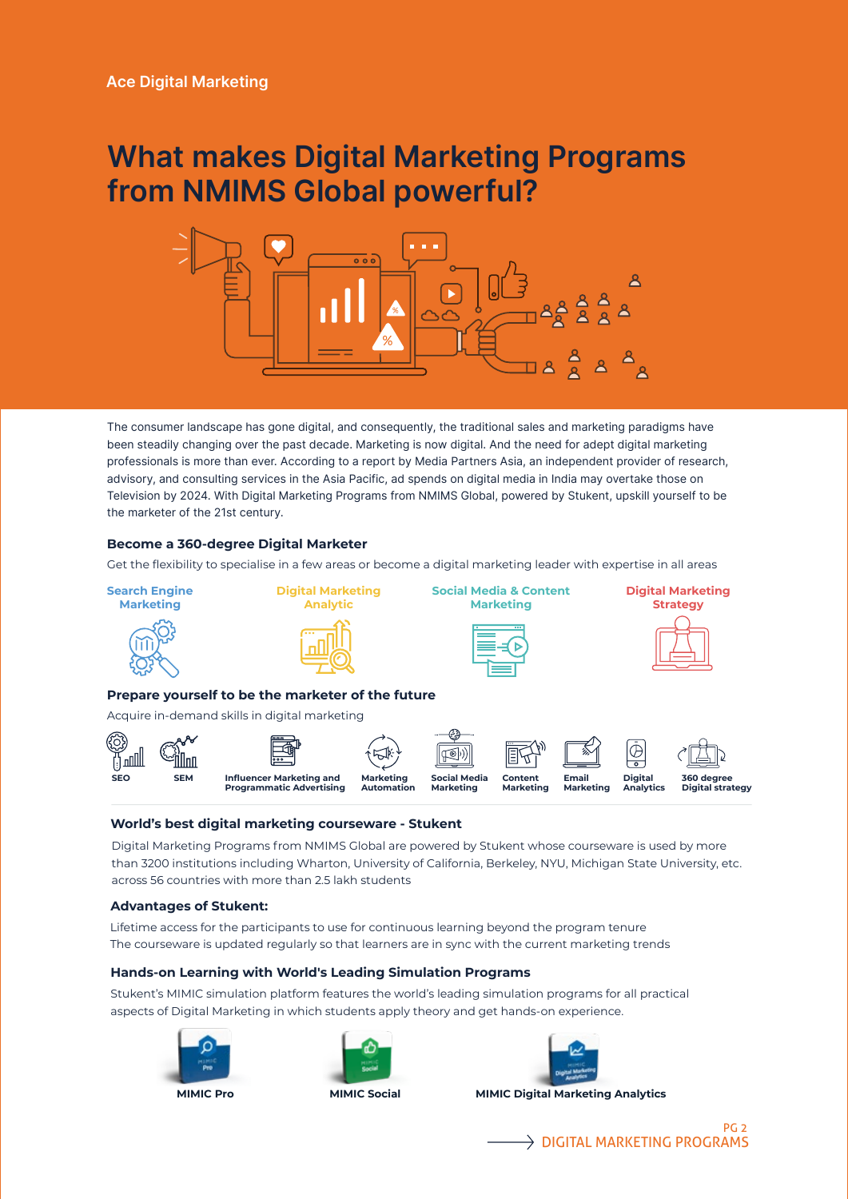### **What makes Digital Marketing Programs from NMIMS Global powerful?**



The consumer landscape has gone digital, and consequently, the traditional sales and marketing paradigms have been steadily changing over the past decade. Marketing is now digital. And the need for adept digital marketing professionals is more than ever. According to a report by Media Partners Asia, an independent provider of research, advisory, and consulting services in the Asia Pacific, ad spends on digital media in India may overtake those on Television by 2024. With Digital Marketing Programs from NMIMS Global, powered by Stukent, upskill yourself to be the marketer of the 21st century.

#### **Become a 360-degree Digital Marketer**

Get the flexibility to specialise in a few areas or become a digital marketing leader with expertise in all areas



#### **World's best digital marketing courseware - Stukent**

Digital Marketing Programs from NMIMS Global are powered by Stukent whose courseware is used by more than 3200 institutions including Wharton, University of California, Berkeley, NYU, Michigan State University, etc. across 56 countries with more than 2.5 lakh students

#### **Advantages of Stukent:**

Lifetime access for the participants to use for continuous learning beyond the program tenure The courseware is updated regularly so that learners are in sync with the current marketing trends

#### **Hands-on Learning with World's Leading Simulation Programs**

Stukent's MIMIC simulation platform features the world's leading simulation programs for all practical aspects of Digital Marketing in which students apply theory and get hands-on experience.









**MIMIC Pro MIMIC Social MIMIC Digital Marketing Analytics**

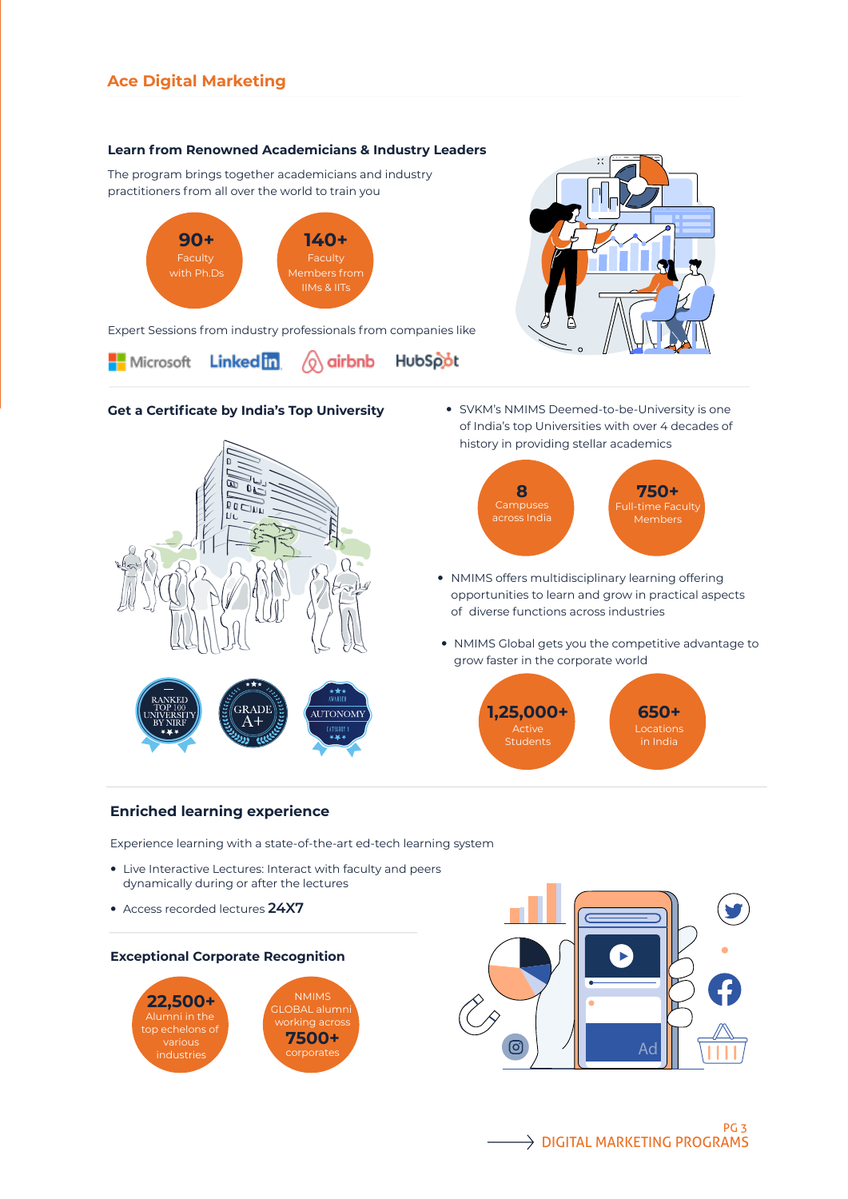#### **Learn from Renowned Academicians & Industry Leaders**

The program brings together academicians and industry practitioners from all over the world to train you



Expert Sessions from industry professionals from companies like



#### **Get a Certificate by India's Top University**



 SVKM's NMIMS Deemed-to-be-University is one of India's top Universities with over 4 decades of history in providing stellar academics



- NMIMS offers multidisciplinary learning offering opportunities to learn and grow in practical aspects of diverse functions across industries
- NMIMS Global gets you the competitive advantage to grow faster in the corporate world



#### **Enriched learning experience**

Experience learning with a state-of-the-art ed-tech learning system

- Live Interactive Lectures: Interact with faculty and peers dynamically during or after the lectures
- Access recorded lectures **24X7**





PG 3  $\rightarrow$  DIGITAL MARKETING PROGRAMS

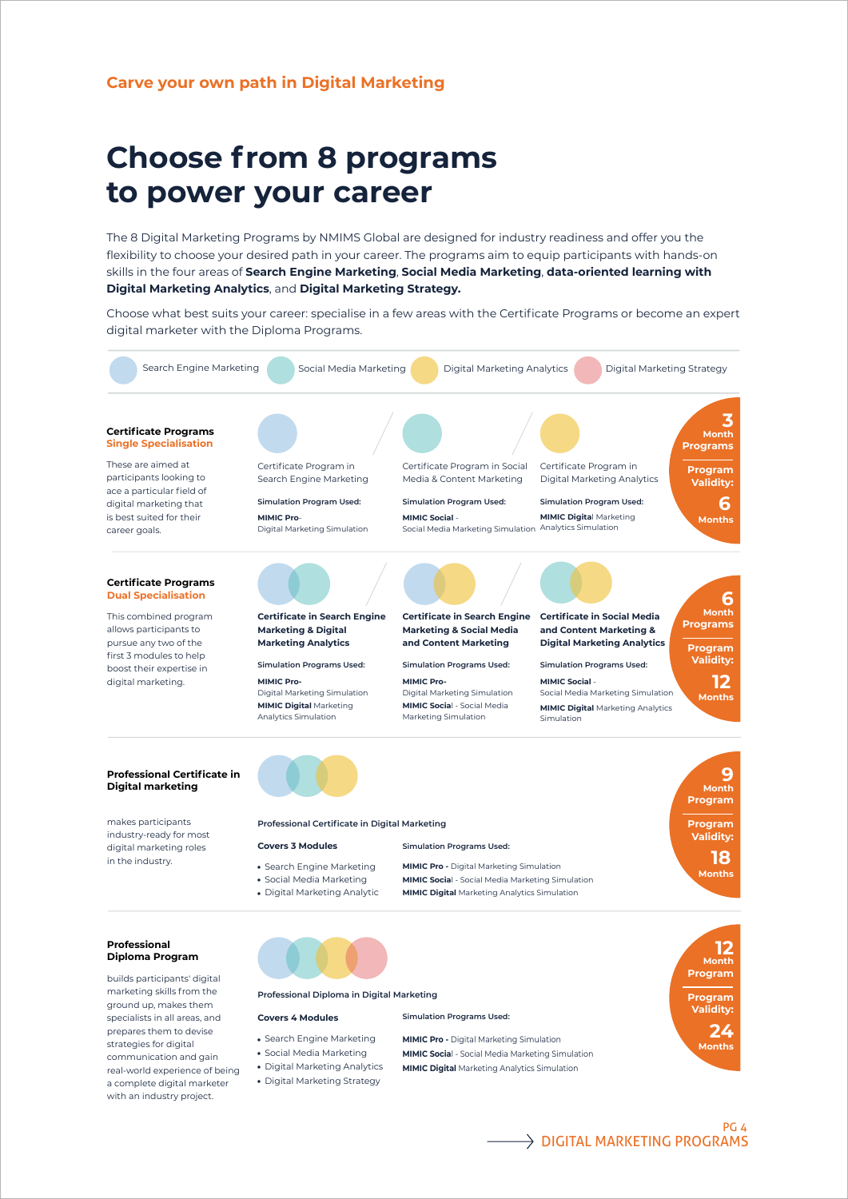### **Choose from 8 programs to power your career**

The 8 Digital Marketing Programs by NMIMS Global are designed for industry readiness and offer you the flexibility to choose your desired path in your career. The programs aim to equip participants with hands-on skills in the four areas of **Search Engine Marketing**, **Social Media Marketing**, **data-oriented learning with Digital Marketing Analytics**, and **Digital Marketing Strategy.**

Choose what best suits your career: specialise in a few areas with the Certificate Programs or become an expert digital marketer with the Diploma Programs.



strategies for digital communication and gain real-world experience of being a complete digital marketer with an industry project.

• Search Engine Marketing Social Media Marketing

- Digital Marketing Analytics
- Digital Marketing Strategy

**MIMIC Pro -** Digital Marketing Simulation

**MIMIC Socia**l - Social Media Marketing Simulation

- **MIMIC Digital** Marketing Analytics Simulation
- 



 $\rightarrow$  DIGITAL MARKETING PROGRAMS

**Months**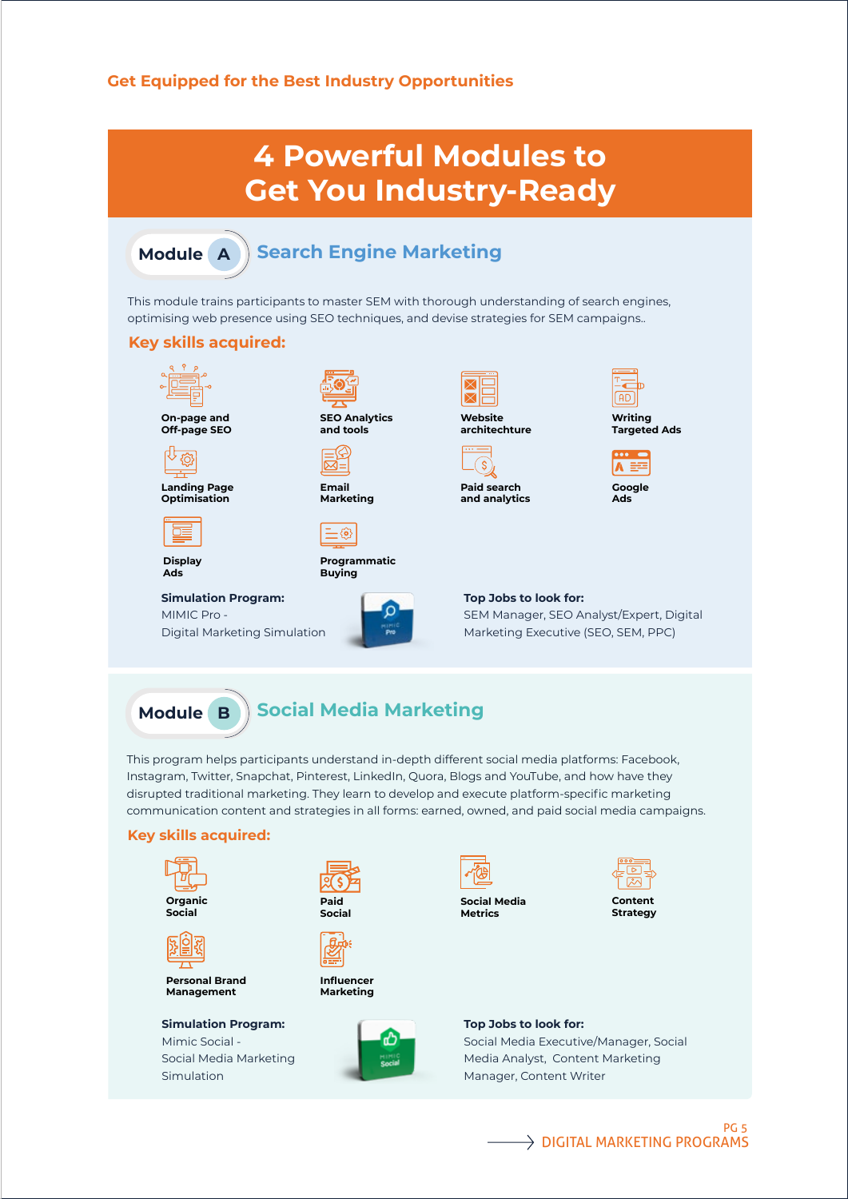#### **Get Equipped for the Best Industry Opportunities**

### **4 Powerful Modules to Get You Industry-Ready**

#### **Search Engine Marketing Module A**

This module trains participants to master SEM with thorough understanding of search engines, optimising web presence using SEO techniques, and devise strategies for SEM campaigns..

#### **Key skills acquired:**





**Landing Page Optimisation**

**Display Ads**

**Simulation Program:**

MIMIC Pro - Digital Marketing Simulation



**SEO Analytics**

**Email Marketing**



**Programmatic Buying**





 $\overline{\mathsf{S}}$ 

**Paid search and analytics**



**Targeted Ads**



**Google Ads**

#### **Top Jobs to look for:**  SEM Manager, SEO Analyst/Expert, Digital

Marketing Executive (SEO, SEM, PPC)

#### **Social Media Marketing Module B**

This program helps participants understand in-depth different social media platforms: Facebook, Instagram, Twitter, Snapchat, Pinterest, LinkedIn, Quora, Blogs and YouTube, and how have they disrupted traditional marketing. They learn to develop and execute platform-specific marketing communication content and strategies in all forms: earned, owned, and paid social media campaigns.

#### **Key skills acquired:**



**Personal Brand Management**

**Simulation Program:** Mimic Social - Social Media Marketing Simulation







**Social Media**



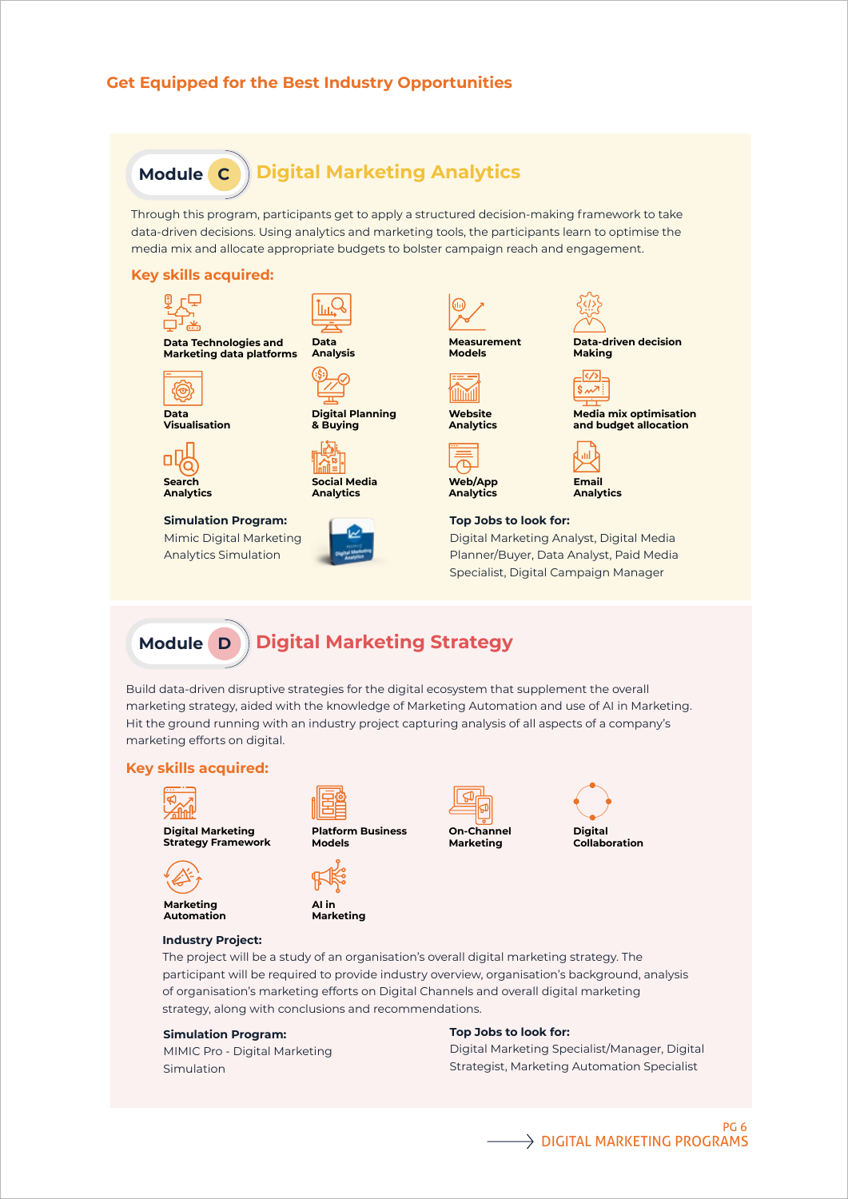

Build data-driven disruptive strategies for the digital ecosystem that supplement the overall marketing strategy, aided with the knowledge of Marketing Automation and use of AI in Marketing. Hit the ground running with an industry project capturing analysis of all aspects of a company's marketing efforts on digital.

**Digital Marketing Strategy**

#### **Key skills acquired:**

**Module D**



**Digital Marketing Strategy Framework**

**Industry Project:** 







**AI in Marketing**





The project will be a study of an organisation's overall digital marketing strategy. The participant will be required to provide industry overview, organisation's background, analysis of organisation's marketing efforts on Digital Channels and overall digital marketing strategy, along with conclusions and recommendations.

#### **Simulation Program:**

MIMIC Pro - Digital Marketing Simulation

#### **Top Jobs to look for:**

Digital Marketing Specialist/Manager, Digital Strategist, Marketing Automation Specialist

#### PG 6  $\rightarrow$  DIGITAL MARKETING PROGRAMS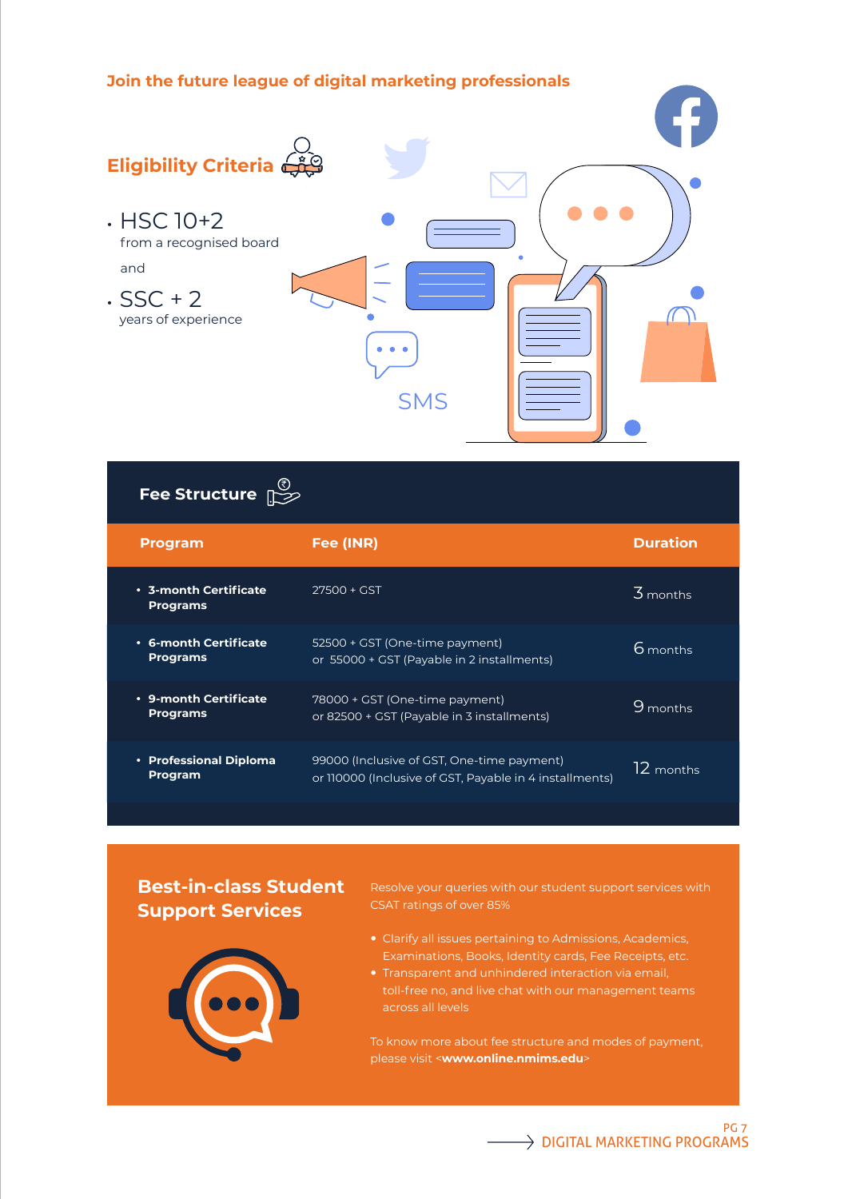#### **Join the future league of digital marketing professionals**



### **Fee Structure** `

| <b>Program</b>                                 | Fee (INR)                                                                                             | <b>Duration</b>       |
|------------------------------------------------|-------------------------------------------------------------------------------------------------------|-----------------------|
| $\cdot$ 3-month Certificate<br><b>Programs</b> | $27500 + GST$                                                                                         | $\overline{3}$ months |
| • 6-month Certificate<br><b>Programs</b>       | 52500 + GST (One-time payment)<br>or 55000 + GST (Payable in 2 installments)                          | 6 months              |
| • 9-month Certificate<br><b>Programs</b>       | 78000 + GST (One-time payment)<br>or 82500 + GST (Payable in 3 installments)                          | $9$ months            |
| • Professional Diploma<br><b>Program</b>       | 99000 (Inclusive of GST, One-time payment)<br>or 110000 (Inclusive of GST, Payable in 4 installments) | $12$ months           |

#### **Best-in-class Student Support Services**

Resolve your queries with our student support services with CSAT ratings of over 85%

- Clarify all issues pertaining to Admissions, Academics, Examinations, Books, Identity cards, Fee Receipts, etc.
- toll-free no, and live chat with our management teams across all levels

To know more about fee structure and modes of payment, please visit <**www.online.nmims.edu**>